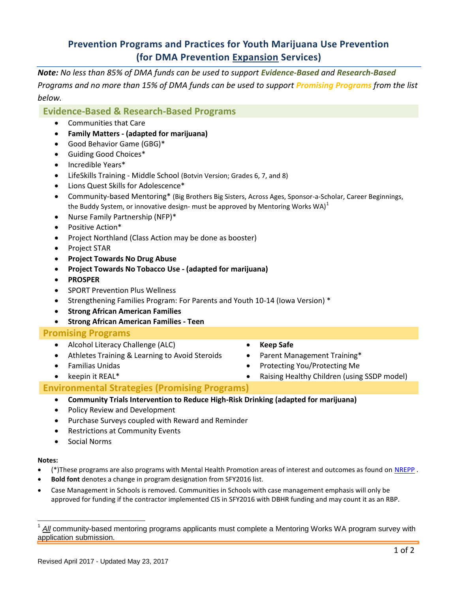# **Prevention Programs and Practices for Youth Marijuana Use Prevention (for DMA Prevention Expansion Services)**

*Note: No less than 85% of DMA funds can be used to support Evidence-Based and Research-Based Programs and no more than 15% of DMA funds can be used to support Promising Programs from the list below.*

## **Evidence-Based & Research-Based Programs**

- Communities that Care
- **Family Matters - (adapted for marijuana)**
- Good Behavior Game (GBG)\*
- Guiding Good Choices\*
- Incredible Years\*
- LifeSkills Training Middle School (Botvin Version; Grades 6, 7, and 8)
- Lions Quest Skills for Adolescence\*
- Community-based Mentoring\* (Big Brothers Big Sisters, Across Ages, Sponsor-a-Scholar, Career Beginnings, the Buddy System, or innovative design- must be approved by Mentoring Works WA)<sup>1</sup>
- Nurse Family Partnership (NFP)\*
- Positive Action\*
- Project Northland (Class Action may be done as booster)
- Project STAR
- **Project Towards No Drug Abuse**
- **Project Towards No Tobacco Use - (adapted for marijuana)**
- **PROSPER**
- SPORT Prevention Plus Wellness
- Strengthening Families Program: For Parents and Youth 10-14 (Iowa Version) \*
- **Strong African American Families**
- **Strong African American Families - Teen**

### **Promising Programs**

- Alcohol Literacy Challenge (ALC)
- Athletes Training & Learning to Avoid Steroids
- Familias Unidas
- keepin it REAL\*
- **Keep Safe**
- Parent Management Training\*
- Protecting You/Protecting Me
- Raising Healthy Children (using SSDP model)

### **Environmental Strategies (Promising Programs)**

- **Community Trials Intervention to Reduce High-Risk Drinking (adapted for marijuana)**
- Policy Review and Development
- Purchase Surveys coupled with Reward and Reminder
- Restrictions at Community Events
- Social Norms

#### **Notes:**

- (\*)These programs are also programs with Mental Health Promotion areas of interest and outcomes as found on [NREPP](http://www.samhsa.gov/nrepp) .
- **Bold font** denotes a change in program designation from SFY2016 list.
- Case Management in Schools is removed. Communities in Schools with case management emphasis will only be approved for funding if the contractor implemented CIS in SFY2016 with DBHR funding and may count it as an RBP.

<sup>1</sup> *All* community-based mentoring programs applicants must complete a Mentoring Works WA program survey with application submission.